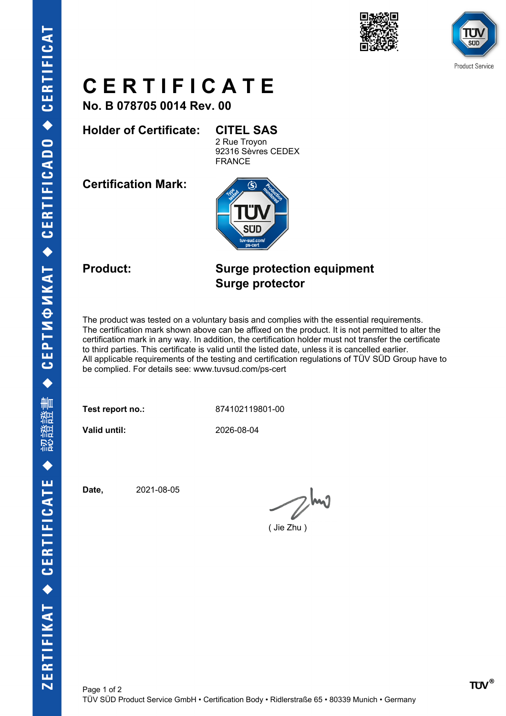



## **C E R T I F I C A T E**

**No. B 078705 0014 Rev. 00**

### **Holder of Certificate: CITEL SAS**

2 Rue Troyon 92316 Sèvres CEDEX FRANCE

**Certification Mark:**



#### **Product: Surge protection equipment Surge protector**

The product was tested on a voluntary basis and complies with the essential requirements. The certification mark shown above can be affixed on the product. It is not permitted to alter the certification mark in any way. In addition, the certification holder must not transfer the certificate to third parties. This certificate is valid until the listed date, unless it is cancelled earlier. All applicable requirements of the testing and certification regulations of TÜV SÜD Group have to be complied. For details see: www.tuvsud.com/ps-cert

**Test report no.:** 874102119801-00

**Valid until:** 2026-08-04

**Date,** 2021-08-05

 $Z^{h\nu}$ 

( Jie Zhu )